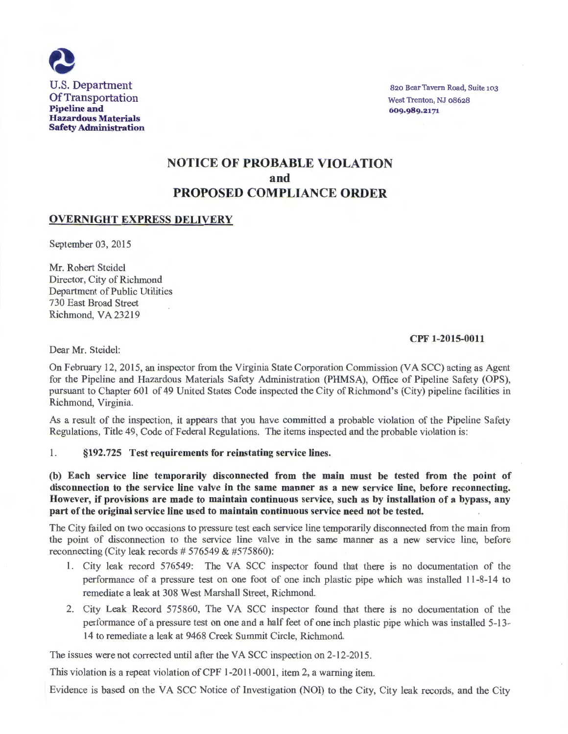

820 Bear Tavern Road, Suite 103 West Trenton, NJ 08628 609·989.2171

# NOTICE OF PROBABLE VIOLATION and PROPOSED COMPLIANCE ORDER

### OVERNIGHT EXPRESS DELIVERY

September 03, 2015

Mr. Robert Steidel Director, City of Richmond Department of Public Utilities 730 East Broad Street Richmond, VA 23219

#### CPF 1-2015-0011

Dear Mr. Steidel:

On February 12, 2015, an inspector from the Virginia State Corporation Commission (VA SCC) acting as Agent for the Pipeline and Hazardous Materials Safety Administration (PHMSA), Office of Pipeline Safety (OPS), pursuant to Chapter 601 of 49 United States Code inspected the City of Richmond's (City) pipeline facilities in Richmond, Virginia.

As a result of the inspection, it appears that you have committed a probable violation of the Pipeline Safety Regulations, Title 49, Code of Federal Regulations. The items inspected and the probable violation is:

#### 1. §192.725 Test requirements for reinstating service lines.

(b) Each service line temporarily disconnected from the main must be tested from the point of disconnection to the service line valve in the same manner as a new service line, before reconnecting. However, if provisions are made to maintain continuous service, such as by installation of a bypass, any part of the original service line used to maintain continuous service need not be tested.

The City failed on two occasions to pressure test each service line temporarily disconnected from the main from the point of disconnection to the service line valve in the same manner as a new service line, before reconnecting (City leak records  $# 576549 \& #575860$ ):

- 1. City leak record 576549: The VA SCC inspector found that there is no documentation of the performance of a pressure test on one foot of one inch plastic pipe which was installed 11-8-14 to remediate a leak at 308 West Marshall Street, Richmond.
- 2. City Leak Record 575860, The VA SCC inspector found that there is no documentation of the performance of a pressure test on one and a half feet of one inch plastic pipe which was installed 5-13- 14 to remediate a leak at 9468 Creek Summit Circle, Richmond.

The issues were not corrected until after the VA SCC inspection on 2-12-2015.

This violation is a repeat violation of CPF 1-2011-0001, item 2, a warning item.

Evidence is based on the VA SCC Notice of Investigation (NOI) to the City, City leak records, and the City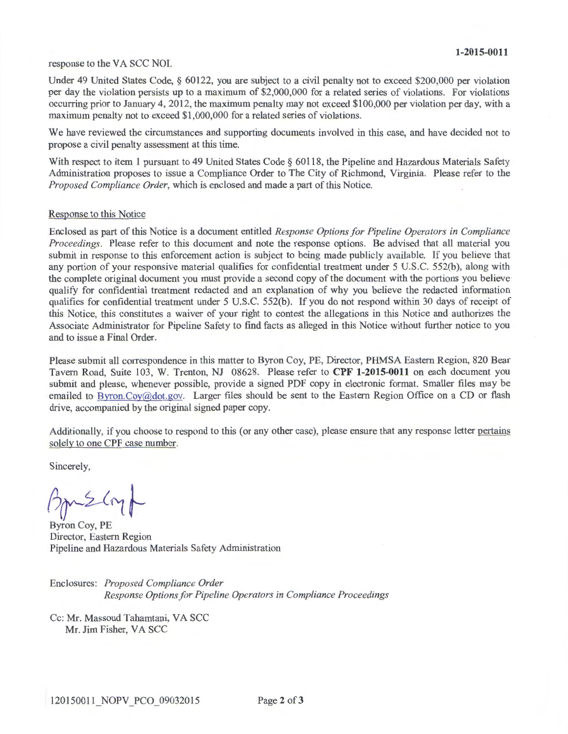#### response to the VA SCC NOI.

Under 49 United States Code, § 60122, you are subject to a civil penalty not to exceed \$200,000 per violation per day the violation persists up to a maximum of \$2,000,000 for a related series of violations. For violations occurring prior to January 4, 2012, the maximum penalty may not exceed \$100,000 per violation per day, with a maximum penalty not to exceed \$1,000,000 for a related series of violations.

We have reviewed the circumstances and supporting documents involved in this case, and have decided not to propose a civil penalty assessment at this time.

With respect to item 1 pursuant to 49 United States Code § 60118, the Pipeline and Hazardous Materials Safety Administration proposes to issue a Compliance Order to The City of Richmond, Virginia. Please refer to the *Proposed Compliance Order,* which is enclosed and made a part of this Notice.

#### Response to this Notice

Enclosed as part of this Notice is a document entitled *Response Options for Pipeline Operators in Compliance Proceedings.* Please refer to this document and note the response options. Be advised that all material you submit in response to this enforcement action is subject to being made publicly available. If you believe that any portion of your responsive material qualifies for confidential treatment under 5 U.S.C. 552(b), along with the complete original document you must provide a second copy of the document with the portions you believe qualify for confidential treatment redacted and an explanation of why you believe the redacted information qualifies for confidential treatment under 5 U.S.C. 552(b). If you do not respond within 30 days of receipt of this Notice, this constitutes a waiver of your right to contest the allegations in this Notice and authorizes the Associate Administrator for Pipeline Safety to find facts as alleged in this Notice without further notice to you and to issue a Final Order.

Please submit all correspondence in this matter to Byron Coy, PE, Director, PHMSA Eastern Region, 820 Bear Tavern Road, Suite 103, W. Trenton, NJ 08628. Please refer to **CPF 1-2015-0011** on each document you submit and please, whenever possible, provide a signed PDF copy in electronic format. Smaller files may be emailed to Byron.Coy@dot.gov. Larger files should be sent to the Eastern Region Office on a CD or flash drive, accompanied by the original signed paper copy.

Additionally, if you choose to respond to this (or any other case), please ensure that any response letter pertains solely to one CPF case number.

Sincerely,

 $f_{\text{max}}$ 

Byron Coy, PE Director, Eastern Region Pipeline and Hazardous Materials Safety Administration

Enclosures: *Proposed Compliance Order Response Options for Pipeline Operators in Compliance Proceedings* 

Cc: Mr. Massoud Tahamtani, VA SCC Mr. Jim Fisher, VA SCC